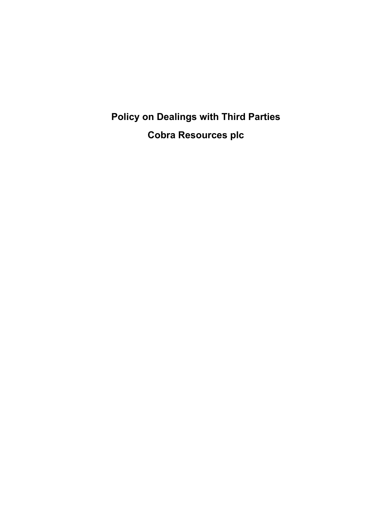**Policy on Dealings with Third Parties Cobra Resources plc**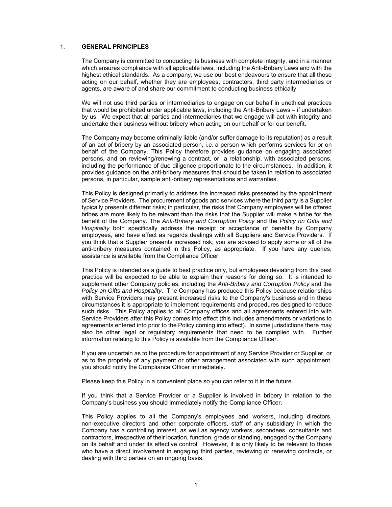#### 1. **GENERAL PRINCIPLES**

The Company is committed to conducting its business with complete integrity, and in a manner which ensures compliance with all applicable laws, including the Anti-Bribery Laws and with the highest ethical standards. As a company, we use our best endeavours to ensure that all those acting on our behalf, whether they are employees, contractors, third party intermediaries or agents, are aware of and share our commitment to conducting business ethically.

We will not use third parties or intermediaries to engage on our behalf in unethical practices that would be prohibited under applicable laws, including the Anti-Bribery Laws – if undertaken by us. We expect that all parties and intermediaries that we engage will act with integrity and undertake their business without bribery when acting on our behalf or for our benefit.

The Company may become criminally liable (and/or suffer damage to its reputation) as a result of an act of bribery by an associated person, i.e. a person which performs services for or on behalf of the Company. This Policy therefore provides guidance on engaging associated persons, and on reviewing/renewing a contract, or a relationship, with associated persons, including the performance of due diligence proportionate to the circumstances. In addition, it provides guidance on the anti-bribery measures that should be taken in relation to associated persons, in particular, sample anti-bribery representations and warranties.

This Policy is designed primarily to address the increased risks presented by the appointment of Service Providers. The procurement of goods and services where the third party is a Supplier typically presents different risks; in particular, the risks that Company employees will be offered bribes are more likely to be relevant than the risks that the Supplier will make a bribe for the benefit of the Company. The *Anti-Bribery and Corruption Policy* and the *Policy on Gifts and Hospitality* both specifically address the receipt or acceptance of benefits by Company employees, and have effect as regards dealings with all Suppliers and Service Providers. If you think that a Supplier presents increased risk, you are advised to apply some or all of the anti-bribery measures contained in this Policy, as appropriate. If you have any queries, assistance is available from the Compliance Officer.

This Policy is intended as a guide to best practice only, but employees deviating from this best practice will be expected to be able to explain their reasons for doing so. It is intended to supplement other Company policies, including the *Anti-Bribery and Corruption Policy* and the *Policy on Gifts and Hospitality*. The Company has produced this Policy because relationships with Service Providers may present increased risks to the Company's business and in these circumstances it is appropriate to implement requirements and procedures designed to reduce such risks. This Policy applies to all Company offices and all agreements entered into with Service Providers after this Policy comes into effect (this includes amendments or variations to agreements entered into prior to the Policy coming into effect). In some jurisdictions there may also be other legal or regulatory requirements that need to be complied with. Further information relating to this Policy is available from the Compliance Officer.

If you are uncertain as to the procedure for appointment of any Service Provider or Supplier, or as to the propriety of any payment or other arrangement associated with such appointment, you should notify the Compliance Officer immediately.

Please keep this Policy in a convenient place so you can refer to it in the future.

If you think that a Service Provider or a Supplier is involved in bribery in relation to the Company's business you should immediately notify the Compliance Officer.

This Policy applies to all the Company's employees and workers, including directors, non-executive directors and other corporate officers, staff of any subsidiary in which the Company has a controlling interest, as well as agency workers, secondees, consultants and contractors, irrespective of their location, function, grade or standing, engaged by the Company on its behalf and under its effective control. However, it is only likely to be relevant to those who have a direct involvement in engaging third parties, reviewing or renewing contracts, or dealing with third parties on an ongoing basis.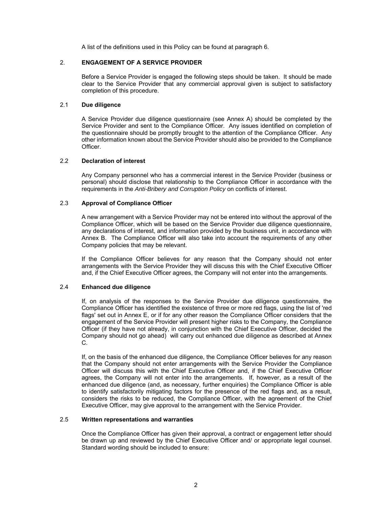A list of the definitions used in this Policy can be found at paragraph 6.

### 2. **ENGAGEMENT OF A SERVICE PROVIDER**

Before a Service Provider is engaged the following steps should be taken. It should be made clear to the Service Provider that any commercial approval given is subject to satisfactory completion of this procedure.

### 2.1 **Due diligence**

A Service Provider due diligence questionnaire (see Annex A) should be completed by the Service Provider and sent to the Compliance Officer. Any issues identified on completion of the questionnaire should be promptly brought to the attention of the Compliance Officer. Any other information known about the Service Provider should also be provided to the Compliance Officer.

## 2.2 **Declaration of interest**

Any Company personnel who has a commercial interest in the Service Provider (business or personal) should disclose that relationship to the Compliance Officer in accordance with the requirements in the *Anti-Bribery and Corruption Policy* on conflicts of interest.

## 2.3 **Approval of Compliance Officer**

A new arrangement with a Service Provider may not be entered into without the approval of the Compliance Officer, which will be based on the Service Provider due diligence questionnaire, any declarations of interest, and information provided by the business unit, in accordance with Annex B. The Compliance Officer will also take into account the requirements of any other Company policies that may be relevant.

If the Compliance Officer believes for any reason that the Company should not enter arrangements with the Service Provider they will discuss this with the Chief Executive Officer and, if the Chief Executive Officer agrees, the Company will not enter into the arrangements.

# 2.4 **Enhanced due diligence**

If, on analysis of the responses to the Service Provider due diligence questionnaire, the Compliance Officer has identified the existence of three or more red flags, using the list of 'red flags' set out in Annex E, or if for any other reason the Compliance Officer considers that the engagement of the Service Provider will present higher risks to the Company, the Compliance Officer (if they have not already, in conjunction with the Chief Executive Officer, decided the Company should not go ahead) will carry out enhanced due diligence as described at Annex C.

If, on the basis of the enhanced due diligence, the Compliance Officer believes for any reason that the Company should not enter arrangements with the Service Provider the Compliance Officer will discuss this with the Chief Executive Officer and, if the Chief Executive Officer agrees, the Company will not enter into the arrangements. If, however, as a result of the enhanced due diligence (and, as necessary, further enquiries) the Compliance Officer is able to identify satisfactorily mitigating factors for the presence of the red flags and, as a result, considers the risks to be reduced, the Compliance Officer, with the agreement of the Chief Executive Officer, may give approval to the arrangement with the Service Provider.

### 2.5 **Written representations and warranties**

Once the Compliance Officer has given their approval, a contract or engagement letter should be drawn up and reviewed by the Chief Executive Officer and/ or appropriate legal counsel. Standard wording should be included to ensure: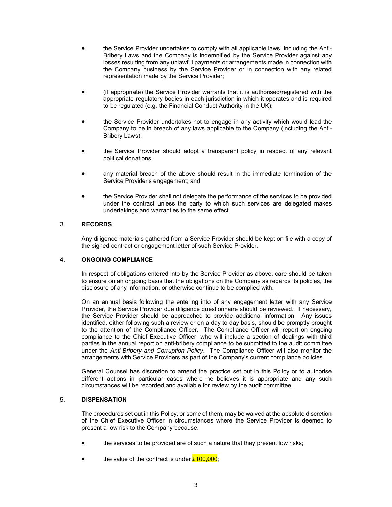- the Service Provider undertakes to comply with all applicable laws, including the Anti-Bribery Laws and the Company is indemnified by the Service Provider against any losses resulting from any unlawful payments or arrangements made in connection with the Company business by the Service Provider or in connection with any related representation made by the Service Provider;
- (if appropriate) the Service Provider warrants that it is authorised/registered with the appropriate regulatory bodies in each jurisdiction in which it operates and is required to be regulated (e.g. the Financial Conduct Authority in the UK);
- the Service Provider undertakes not to engage in any activity which would lead the Company to be in breach of any laws applicable to the Company (including the Anti-Bribery Laws);
- the Service Provider should adopt a transparent policy in respect of any relevant political donations;
- any material breach of the above should result in the immediate termination of the Service Provider's engagement; and
- the Service Provider shall not delegate the performance of the services to be provided under the contract unless the party to which such services are delegated makes undertakings and warranties to the same effect.

## 3. **RECORDS**

Any diligence materials gathered from a Service Provider should be kept on file with a copy of the signed contract or engagement letter of such Service Provider.

#### 4. **ONGOING COMPLIANCE**

In respect of obligations entered into by the Service Provider as above, care should be taken to ensure on an ongoing basis that the obligations on the Company as regards its policies, the disclosure of any information, or otherwise continue to be complied with.

On an annual basis following the entering into of any engagement letter with any Service Provider, the Service Provider due diligence questionnaire should be reviewed. If necessary, the Service Provider should be approached to provide additional information. Any issues identified, either following such a review or on a day to day basis, should be promptly brought to the attention of the Compliance Officer. The Compliance Officer will report on ongoing compliance to the Chief Executive Officer, who will include a section of dealings with third parties in the annual report on anti-bribery compliance to be submitted to the audit committee under the *Anti-Bribery and Corruption Policy*. The Compliance Officer will also monitor the arrangements with Service Providers as part of the Company's current compliance policies.

General Counsel has discretion to amend the practice set out in this Policy or to authorise different actions in particular cases where he believes it is appropriate and any such circumstances will be recorded and available for review by the audit committee.

#### 5. **DISPENSATION**

The procedures set out in this Policy, or some of them, may be waived at the absolute discretion of the Chief Executive Officer in circumstances where the Service Provider is deemed to present a low risk to the Company because:

- the services to be provided are of such a nature that they present low risks;
- the value of the contract is under  $£100,000$ ;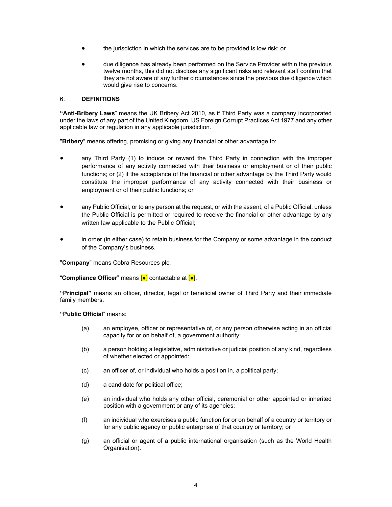- the jurisdiction in which the services are to be provided is low risk; or
- due diligence has already been performed on the Service Provider within the previous twelve months, this did not disclose any significant risks and relevant staff confirm that they are not aware of any further circumstances since the previous due diligence which would give rise to concerns.

# 6. **DEFINITIONS**

**"Anti-Bribery Laws**" means the UK Bribery Act 2010, as if Third Party was a company incorporated under the laws of any part of the United Kingdom, US Foreign Corrupt Practices Act 1977 and any other applicable law or regulation in any applicable jurisdiction.

"**Bribery**" means offering, promising or giving any financial or other advantage to:

- any Third Party (1) to induce or reward the Third Party in connection with the improper performance of any activity connected with their business or employment or of their public functions; or (2) if the acceptance of the financial or other advantage by the Third Party would constitute the improper performance of any activity connected with their business or employment or of their public functions; or
- any Public Official, or to any person at the request, or with the assent, of a Public Official, unless the Public Official is permitted or required to receive the financial or other advantage by any written law applicable to the Public Official;
- in order (in either case) to retain business for the Company or some advantage in the conduct of the Company's business.

"**Company**" means Cobra Resources plc.

"**Compliance Officer**" means [●] contactable at [●].

**"Principal"** means an officer, director, legal or beneficial owner of Third Party and their immediate family members.

**"Public Official**" means:

- (a) an employee, officer or representative of, or any person otherwise acting in an official capacity for or on behalf of, a government authority;
- (b) a person holding a legislative, administrative or judicial position of any kind, regardless of whether elected or appointed:
- (c) an officer of, or individual who holds a position in, a political party;
- (d) a candidate for political office;
- (e) an individual who holds any other official, ceremonial or other appointed or inherited position with a government or any of its agencies;
- (f) an individual who exercises a public function for or on behalf of a country or territory or for any public agency or public enterprise of that country or territory; or
- (g) an official or agent of a public international organisation (such as the World Health Organisation).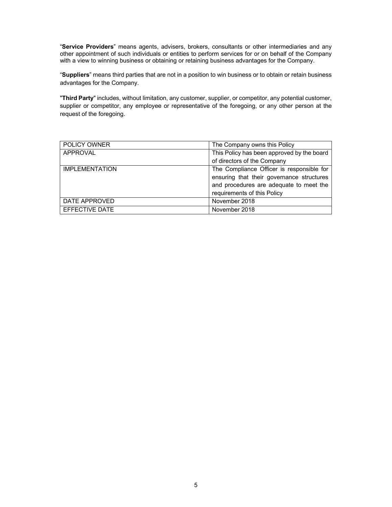"**Service Providers**" means agents, advisers, brokers, consultants or other intermediaries and any other appointment of such individuals or entities to perform services for or on behalf of the Company with a view to winning business or obtaining or retaining business advantages for the Company.

"**Suppliers**" means third parties that are not in a position to win business or to obtain or retain business advantages for the Company.

"**Third Party**" includes, without limitation, any customer, supplier, or competitor, any potential customer, supplier or competitor, any employee or representative of the foregoing, or any other person at the request of the foregoing.

| <b>POLICY OWNER</b>   | The Company owns this Policy               |
|-----------------------|--------------------------------------------|
| APPROVAL              | This Policy has been approved by the board |
|                       | of directors of the Company                |
| <b>IMPLEMENTATION</b> | The Compliance Officer is responsible for  |
|                       | ensuring that their governance structures  |
|                       | and procedures are adequate to meet the    |
|                       | requirements of this Policy                |
| DATE APPROVED         | November 2018                              |
| EFFECTIVE DATE        | November 2018                              |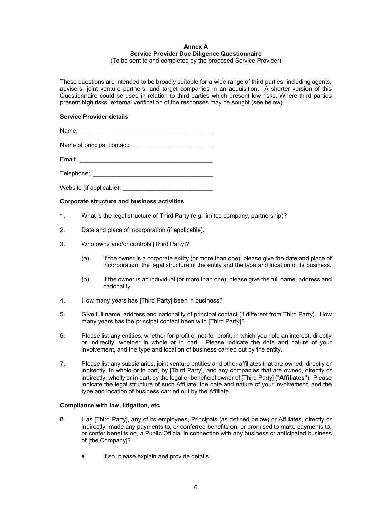# **Annex A Service Provider Due Diligence Questionnaire**

(To be sent to and completed by the proposed Service Provider)

These questions are intended to be broadly suitable for a wide range of third parties, including agents, advisers, joint venture partners, and target companies in an acquisition. A shorter version of this Questionnaire could be used in relation to third parties which present low risks. Where third parties present high risks, external verification of the responses may be sought (see below).

## **Service Provider details**

Name:  $\blacksquare$ 

Name of principal contact: \_\_\_\_\_\_\_\_\_\_\_\_\_\_\_\_\_\_\_\_\_\_\_\_\_

Email: \_\_\_\_\_\_\_\_\_\_\_\_\_\_\_\_\_\_\_\_\_\_\_\_\_\_\_\_\_\_\_\_\_\_\_\_\_\_\_\_

Telephone: \_\_\_\_\_\_\_\_\_\_\_\_\_\_\_\_\_\_\_\_\_\_\_\_\_\_\_\_\_\_\_\_\_\_\_\_

Website (if applicable):

## **Corporate structure and business activities**

- 1. What is the legal structure of Third Party (e.g. limited company, partnership)?
- 2. Date and place of incorporation (if applicable).
- 3. Who owns and/or controls [Third Party]?
	- (a) If the owner is a corporate entity (or more than one), please give the date and place of incorporation, the legal structure of the entity and the type and location of its business.
	- (b) If the owner is an individual (or more than one), please give the full name, address and nationality.
- 4. How many years has [Third Party] been in business?
- 5. Give full name, address and nationality of principal contact (if different from Third Party). How many years has the principal contact been with [Third Party]?
- 6. Please list any entities, whether for-profit or not-for-profit, in which you hold an interest, directly or indirectly, whether in whole or in part. Please indicate the date and nature of your involvement, and the type and location of business carried out by the entity.
- 7. Please list any subsidiaries, joint venture entities and other affiliates that are owned, directly or indirectly, in whole or in part, by [Third Party], and any companies that are owned, directly or indirectly, wholly or in part, by the legal or beneficial owner of [Third Party] ("**Affiliates**"). Please indicate the legal structure of such Affiliate, the date and nature of your involvement, and the type and location of business carried out by the Affiliate.

#### **Compliance with law, litigation, etc**

- 8. Has [Third Party], any of its employees, Principals (as defined below) or Affiliates, directly or indirectly, made any payments to, or conferred benefits on, or promised to make payments to, or confer benefits on, a Public Official in connection with any business or anticipated business of [the Company]?
	- If so, please explain and provide details.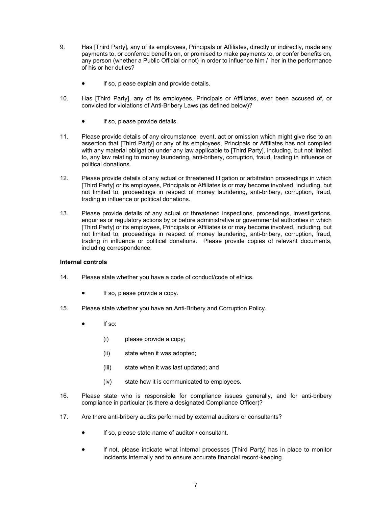- 9. Has [Third Party], any of its employees, Principals or Affiliates, directly or indirectly, made any payments to, or conferred benefits on, or promised to make payments to, or confer benefits on, any person (whether a Public Official or not) in order to influence him / her in the performance of his or her duties?
	- If so, please explain and provide details.
- 10. Has [Third Party], any of its employees, Principals or Affiliates, ever been accused of, or convicted for violations of Anti-Bribery Laws (as defined below)?
	- If so, please provide details.
- 11. Please provide details of any circumstance, event, act or omission which might give rise to an assertion that [Third Party] or any of its employees, Principals or Affiliates has not complied with any material obligation under any law applicable to [Third Party], including, but not limited to, any law relating to money laundering, anti-bribery, corruption, fraud, trading in influence or political donations.
- 12. Please provide details of any actual or threatened litigation or arbitration proceedings in which [Third Party] or its employees, Principals or Affiliates is or may become involved, including, but not limited to, proceedings in respect of money laundering, anti-bribery, corruption, fraud, trading in influence or political donations.
- 13. Please provide details of any actual or threatened inspections, proceedings, investigations, enquiries or regulatory actions by or before administrative or governmental authorities in which [Third Party] or its employees, Principals or Affiliates is or may become involved, including, but not limited to, proceedings in respect of money laundering, anti-bribery, corruption, fraud, trading in influence or political donations. Please provide copies of relevant documents, including correspondence.

#### **Internal controls**

- 14. Please state whether you have a code of conduct/code of ethics.
	- If so, please provide a copy.
- 15. Please state whether you have an Anti-Bribery and Corruption Policy.
	- If so:
		- (i) please provide a copy;
		- (ii) state when it was adopted;
		- (iii) state when it was last updated; and
		- (iv) state how it is communicated to employees.
- 16. Please state who is responsible for compliance issues generally, and for anti-bribery compliance in particular (is there a designated Compliance Officer)?
- 17. Are there anti-bribery audits performed by external auditors or consultants?
	- If so, please state name of auditor / consultant.
	- If not, please indicate what internal processes [Third Party] has in place to monitor incidents internally and to ensure accurate financial record-keeping.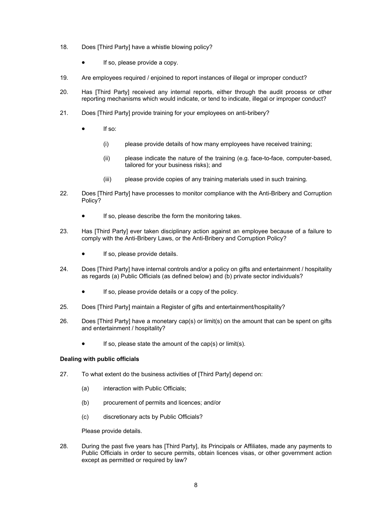- 18. Does [Third Party] have a whistle blowing policy?
	- If so, please provide a copy.
- 19. Are employees required / enjoined to report instances of illegal or improper conduct?
- 20. Has [Third Party] received any internal reports, either through the audit process or other reporting mechanisms which would indicate, or tend to indicate, illegal or improper conduct?
- 21. Does [Third Party] provide training for your employees on anti-bribery?
	- If so:
		- (i) please provide details of how many employees have received training;
		- (ii) please indicate the nature of the training (e.g. face-to-face, computer-based, tailored for your business risks); and
		- (iii) please provide copies of any training materials used in such training.
- 22. Does [Third Party] have processes to monitor compliance with the Anti-Bribery and Corruption Policy?
	- If so, please describe the form the monitoring takes.
- 23. Has [Third Party] ever taken disciplinary action against an employee because of a failure to comply with the Anti-Bribery Laws, or the Anti-Bribery and Corruption Policy?
	- If so, please provide details.
- 24. Does [Third Party] have internal controls and/or a policy on gifts and entertainment / hospitality as regards (a) Public Officials (as defined below) and (b) private sector individuals?
	- If so, please provide details or a copy of the policy.
- 25. Does [Third Party] maintain a Register of gifts and entertainment/hospitality?
- 26. Does [Third Party] have a monetary cap(s) or limit(s) on the amount that can be spent on gifts and entertainment / hospitality?
	- If so, please state the amount of the cap(s) or limit(s).

## **Dealing with public officials**

- 27. To what extent do the business activities of [Third Party] depend on:
	- (a) interaction with Public Officials;
	- (b) procurement of permits and licences; and/or
	- (c) discretionary acts by Public Officials?

Please provide details.

28. During the past five years has [Third Party], its Principals or Affiliates, made any payments to Public Officials in order to secure permits, obtain licences visas, or other government action except as permitted or required by law?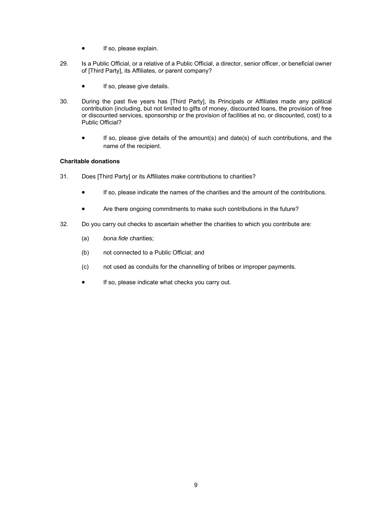- **•** If so, please explain.
- 29. Is a Public Official, or a relative of a Public Official, a director, senior officer, or beneficial owner of [Third Party], its Affiliates, or parent company?
	- If so, please give details.
- 30. During the past five years has [Third Party], its Principals or Affiliates made any political contribution (including, but not limited to gifts of money, discounted loans, the provision of free or discounted services, sponsorship or the provision of facilities at no, or discounted, cost) to a Public Official?
	- If so, please give details of the amount(s) and date(s) of such contributions, and the name of the recipient.

# **Charitable donations**

- 31. Does [Third Party] or its Affiliates make contributions to charities?
	- If so, please indicate the names of the charities and the amount of the contributions.
	- Are there ongoing commitments to make such contributions in the future?
- 32. Do you carry out checks to ascertain whether the charities to which you contribute are:
	- (a) *bona fide* charities;
	- (b) not connected to a Public Official; and
	- (c) not used as conduits for the channelling of bribes or improper payments.
	- **If so, please indicate what checks you carry out.**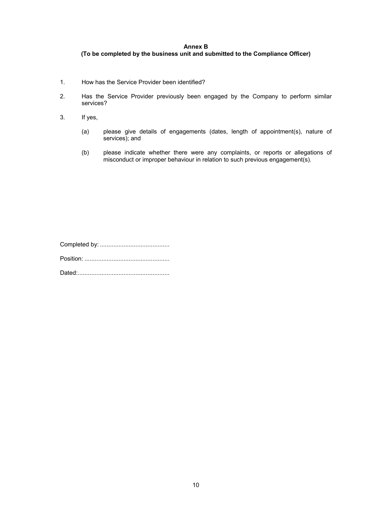# **Annex B (To be completed by the business unit and submitted to the Compliance Officer)**

- 1. How has the Service Provider been identified?
- 2. Has the Service Provider previously been engaged by the Company to perform similar services?
- 3. If yes,
	- (a) please give details of engagements (dates, length of appointment(s), nature of services); and
	- (b) please indicate whether there were any complaints, or reports or allegations of misconduct or improper behaviour in relation to such previous engagement(s).

Completed by: ......................................... Position: .................................................. Dated: ......................................................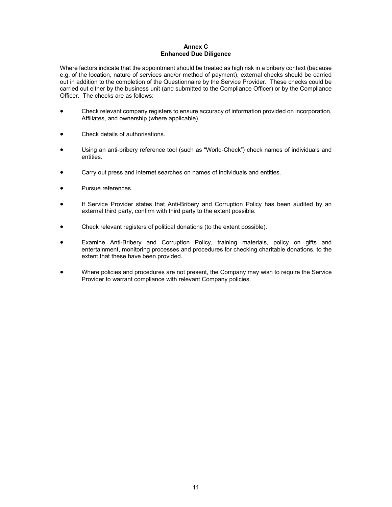## **Annex C Enhanced Due Diligence**

Where factors indicate that the appointment should be treated as high risk in a bribery context (because e.g. of the location, nature of services and/or method of payment), external checks should be carried out in addition to the completion of the Questionnaire by the Service Provider. These checks could be carried out either by the business unit (and submitted to the Compliance Officer) or by the Compliance Officer. The checks are as follows:

- Check relevant company registers to ensure accuracy of information provided on incorporation, Affiliates, and ownership (where applicable).
- Check details of authorisations.
- Using an anti-bribery reference tool (such as "World-Check") check names of individuals and entities.
- Carry out press and internet searches on names of individuals and entities.
- Pursue references.
- If Service Provider states that Anti-Bribery and Corruption Policy has been audited by an external third party, confirm with third party to the extent possible.
- Check relevant registers of political donations (to the extent possible).
- Examine Anti-Bribery and Corruption Policy, training materials, policy on gifts and entertainment, monitoring processes and procedures for checking charitable donations, to the extent that these have been provided.
- Where policies and procedures are not present, the Company may wish to require the Service Provider to warrant compliance with relevant Company policies.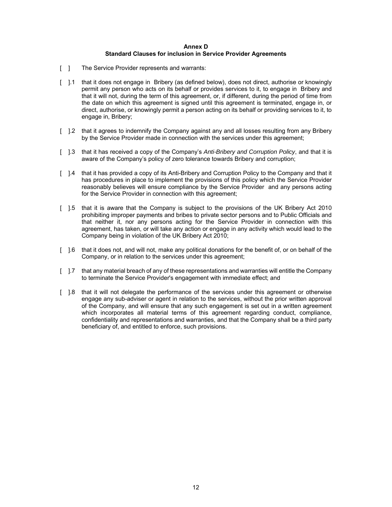#### **Annex D Standard Clauses for inclusion in Service Provider Agreements**

- [ ] The Service Provider represents and warrants:
- [ ].1 that it does not engage in Bribery (as defined below), does not direct, authorise or knowingly permit any person who acts on its behalf or provides services to it, to engage in Bribery and that it will not, during the term of this agreement, or, if different, during the period of time from the date on which this agreement is signed until this agreement is terminated, engage in, or direct, authorise, or knowingly permit a person acting on its behalf or providing services to it, to engage in, Bribery;
- [ ].2 that it agrees to indemnify the Company against any and all losses resulting from any Bribery by the Service Provider made in connection with the services under this agreement;
- [ ].3 that it has received a copy of the Company's *Anti-Bribery and Corruption Policy*, and that it is aware of the Company's policy of zero tolerance towards Bribery and corruption;
- [ ].4 that it has provided a copy of its Anti-Bribery and Corruption Policy to the Company and that it has procedures in place to implement the provisions of this policy which the Service Provider reasonably believes will ensure compliance by the Service Provider and any persons acting for the Service Provider in connection with this agreement;
- [ ].5 that it is aware that the Company is subject to the provisions of the UK Bribery Act 2010 prohibiting improper payments and bribes to private sector persons and to Public Officials and that neither it, nor any persons acting for the Service Provider in connection with this agreement, has taken, or will take any action or engage in any activity which would lead to the Company being in violation of the UK Bribery Act 2010;
- [ ].6 that it does not, and will not, make any political donations for the benefit of, or on behalf of the Company, or in relation to the services under this agreement;
- [ ].7 that any material breach of any of these representations and warranties will entitle the Company to terminate the Service Provider's engagement with immediate effect; and
- [ ].8 that it will not delegate the performance of the services under this agreement or otherwise engage any sub-adviser or agent in relation to the services, without the prior written approval of the Company, and will ensure that any such engagement is set out in a written agreement which incorporates all material terms of this agreement regarding conduct, compliance, confidentiality and representations and warranties, and that the Company shall be a third party beneficiary of, and entitled to enforce, such provisions.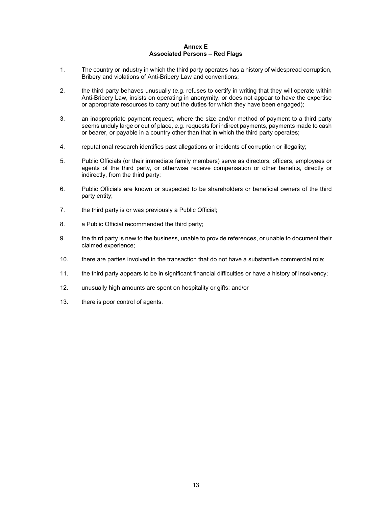#### **Annex E Associated Persons – Red Flags**

- 1. The country or industry in which the third party operates has a history of widespread corruption, Bribery and violations of Anti-Bribery Law and conventions;
- 2. the third party behaves unusually (e.g. refuses to certify in writing that they will operate within Anti-Bribery Law, insists on operating in anonymity, or does not appear to have the expertise or appropriate resources to carry out the duties for which they have been engaged);
- 3. an inappropriate payment request, where the size and/or method of payment to a third party seems unduly large or out of place, e.g. requests for indirect payments, payments made to cash or bearer, or payable in a country other than that in which the third party operates;
- 4. reputational research identifies past allegations or incidents of corruption or illegality;
- 5. Public Officials (or their immediate family members) serve as directors, officers, employees or agents of the third party, or otherwise receive compensation or other benefits, directly or indirectly, from the third party;
- 6. Public Officials are known or suspected to be shareholders or beneficial owners of the third party entity;
- 7. the third party is or was previously a Public Official;
- 8. a Public Official recommended the third party;
- 9. the third party is new to the business, unable to provide references, or unable to document their claimed experience;
- 10. there are parties involved in the transaction that do not have a substantive commercial role;
- 11. the third party appears to be in significant financial difficulties or have a history of insolvency;
- 12. unusually high amounts are spent on hospitality or gifts; and/or
- 13. there is poor control of agents.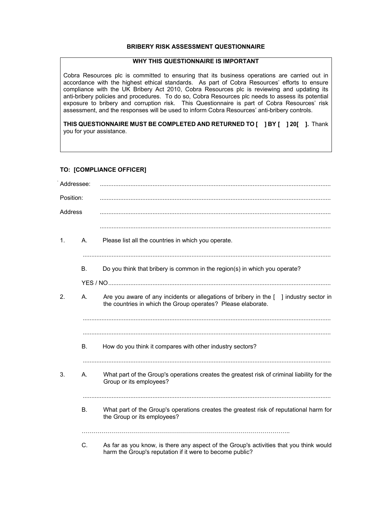# **BRIBERY RISK ASSESSMENT QUESTIONNAIRE**

## **WHY THIS QUESTIONNAIRE IS IMPORTANT**

Cobra Resources plc is committed to ensuring that its business operations are carried out in accordance with the highest ethical standards. As part of Cobra Resources' efforts to ensure compliance with the UK Bribery Act 2010, Cobra Resources plc is reviewing and updating its anti-bribery policies and procedures. To do so, Cobra Resources plc needs to assess its potential exposure to bribery and corruption risk. This Questionnaire is part of Cobra Resources' risk assessment, and the responses will be used to inform Cobra Resources' anti-bribery controls.

**THIS QUESTIONNAIRE MUST BE COMPLETED AND RETURNED TO [ ] BY [ ] 20[ ].** Thank you for your assistance.

# **TO: [COMPLIANCE OFFICER]**

| Addressee:     |           |                                                                                                                                                                      |
|----------------|-----------|----------------------------------------------------------------------------------------------------------------------------------------------------------------------|
| Position:      |           |                                                                                                                                                                      |
| Address        |           |                                                                                                                                                                      |
| $\mathbf{1}$ . | A.        | Please list all the countries in which you operate.                                                                                                                  |
|                | B.        | Do you think that bribery is common in the region(s) in which you operate?                                                                                           |
|                |           |                                                                                                                                                                      |
| 2.             | Α.        | Are you aware of any incidents or allegations of bribery in the $\lceil \ \rceil$ industry sector in<br>the countries in which the Group operates? Please elaborate. |
|                | <b>B.</b> | How do you think it compares with other industry sectors?                                                                                                            |
|                |           |                                                                                                                                                                      |
| 3.             | Α.        | What part of the Group's operations creates the greatest risk of criminal liability for the<br>Group or its employees?                                               |
|                |           |                                                                                                                                                                      |
|                | <b>B.</b> | What part of the Group's operations creates the greatest risk of reputational harm for<br>the Group or its employees?                                                |
|                |           |                                                                                                                                                                      |
|                | C.        | As far as you know, is there any aspect of the Group's activities that you think would<br>harm the Group's reputation if it were to become public?                   |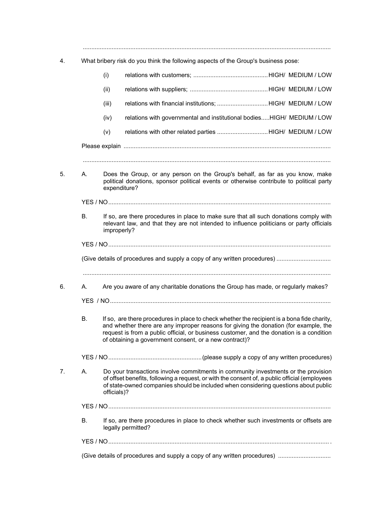..................................................................................................................................................

4. What bribery risk do you think the following aspects of the Group's business pose:

|    |           | (i)         |                                                                                                                                                                                                                                                                                                                                           |  |
|----|-----------|-------------|-------------------------------------------------------------------------------------------------------------------------------------------------------------------------------------------------------------------------------------------------------------------------------------------------------------------------------------------|--|
|    |           | (ii)        |                                                                                                                                                                                                                                                                                                                                           |  |
|    |           | (iii)       | relations with financial institutions; HIGH/ MEDIUM / LOW                                                                                                                                                                                                                                                                                 |  |
|    |           | (iv)        | relations with governmental and institutional bodiesHIGH/ MEDIUM / LOW                                                                                                                                                                                                                                                                    |  |
|    |           | (v)         | relations with other related parties HIGH/ MEDIUM / LOW                                                                                                                                                                                                                                                                                   |  |
|    |           |             |                                                                                                                                                                                                                                                                                                                                           |  |
| 5. | А.        |             | Does the Group, or any person on the Group's behalf, as far as you know, make<br>political donations, sponsor political events or otherwise contribute to political party<br>expenditure?                                                                                                                                                 |  |
|    |           |             |                                                                                                                                                                                                                                                                                                                                           |  |
|    | <b>B.</b> |             | If so, are there procedures in place to make sure that all such donations comply with<br>relevant law, and that they are not intended to influence politicians or party officials<br>improperly?                                                                                                                                          |  |
|    |           |             |                                                                                                                                                                                                                                                                                                                                           |  |
|    |           |             |                                                                                                                                                                                                                                                                                                                                           |  |
| 6. | А.        |             | Are you aware of any charitable donations the Group has made, or regularly makes?                                                                                                                                                                                                                                                         |  |
|    |           |             |                                                                                                                                                                                                                                                                                                                                           |  |
|    | В.        |             | If so, are there procedures in place to check whether the recipient is a bona fide charity,<br>and whether there are any improper reasons for giving the donation (for example, the<br>request is from a public official, or business customer, and the donation is a condition<br>of obtaining a government consent, or a new contract)? |  |
|    |           |             |                                                                                                                                                                                                                                                                                                                                           |  |
| 7. | Α.        | officials)? | Do your transactions involve commitments in community investments or the provision<br>of offset benefits, following a request, or with the consent of, a public official (employees<br>of state-owned companies should be included when considering questions about public                                                                |  |
|    |           |             |                                                                                                                                                                                                                                                                                                                                           |  |
|    | Β.        |             | If so, are there procedures in place to check whether such investments or offsets are<br>legally permitted?                                                                                                                                                                                                                               |  |
|    |           |             |                                                                                                                                                                                                                                                                                                                                           |  |
|    |           |             |                                                                                                                                                                                                                                                                                                                                           |  |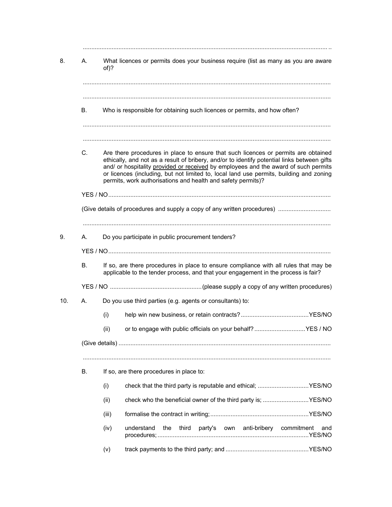| 8.  | А. | What licences or permits does your business require (list as many as you are aware<br>of)?                                                                                                                                                                                                                                                                                                                                          |                   |  |  |
|-----|----|-------------------------------------------------------------------------------------------------------------------------------------------------------------------------------------------------------------------------------------------------------------------------------------------------------------------------------------------------------------------------------------------------------------------------------------|-------------------|--|--|
|     | В. | Who is responsible for obtaining such licences or permits, and how often?                                                                                                                                                                                                                                                                                                                                                           |                   |  |  |
|     | C. | Are there procedures in place to ensure that such licences or permits are obtained<br>ethically, and not as a result of bribery, and/or to identify potential links between gifts<br>and/ or hospitality provided or received by employees and the award of such permits<br>or licences (including, but not limited to, local land use permits, building and zoning<br>permits, work authorisations and health and safety permits)? |                   |  |  |
|     |    |                                                                                                                                                                                                                                                                                                                                                                                                                                     |                   |  |  |
|     |    |                                                                                                                                                                                                                                                                                                                                                                                                                                     |                   |  |  |
|     |    |                                                                                                                                                                                                                                                                                                                                                                                                                                     |                   |  |  |
|     | А. | Do you participate in public procurement tenders?                                                                                                                                                                                                                                                                                                                                                                                   |                   |  |  |
|     |    |                                                                                                                                                                                                                                                                                                                                                                                                                                     |                   |  |  |
|     | В. | If so, are there procedures in place to ensure compliance with all rules that may be<br>applicable to the tender process, and that your engagement in the process is fair?                                                                                                                                                                                                                                                          |                   |  |  |
|     |    |                                                                                                                                                                                                                                                                                                                                                                                                                                     |                   |  |  |
| 10. | А. | Do you use third parties (e.g. agents or consultants) to:                                                                                                                                                                                                                                                                                                                                                                           |                   |  |  |
|     |    |                                                                                                                                                                                                                                                                                                                                                                                                                                     |                   |  |  |
|     |    | (i)                                                                                                                                                                                                                                                                                                                                                                                                                                 |                   |  |  |
|     |    | or to engage with public officials on your behalf? YES / NO<br>(ii)                                                                                                                                                                                                                                                                                                                                                                 |                   |  |  |
|     |    |                                                                                                                                                                                                                                                                                                                                                                                                                                     |                   |  |  |
|     | В. | If so, are there procedures in place to:                                                                                                                                                                                                                                                                                                                                                                                            |                   |  |  |
|     |    | (i)<br>check that the third party is reputable and ethical; YES/NO                                                                                                                                                                                                                                                                                                                                                                  |                   |  |  |
|     |    | check who the beneficial owner of the third party is; YES/NO<br>(ii)                                                                                                                                                                                                                                                                                                                                                                |                   |  |  |
|     |    | (iii)                                                                                                                                                                                                                                                                                                                                                                                                                               |                   |  |  |
|     |    | (iv)<br>understand<br>the<br>third<br>party's own<br>anti-bribery                                                                                                                                                                                                                                                                                                                                                                   | commitment<br>and |  |  |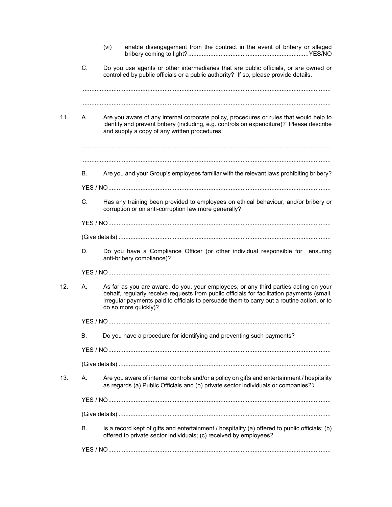|     |           | (vi) | enable disengagement from the contract in the event of bribery or alleged                                                                                                                                                                                                                                |
|-----|-----------|------|----------------------------------------------------------------------------------------------------------------------------------------------------------------------------------------------------------------------------------------------------------------------------------------------------------|
|     | C.        |      | Do you use agents or other intermediaries that are public officials, or are owned or<br>controlled by public officials or a public authority? If so, please provide details.                                                                                                                             |
| 11. | А.        |      | Are you aware of any internal corporate policy, procedures or rules that would help to<br>identify and prevent bribery (including, e.g. controls on expenditure)? Please describe<br>and supply a copy of any written procedures.                                                                        |
|     | <b>B.</b> |      | Are you and your Group's employees familiar with the relevant laws prohibiting bribery?                                                                                                                                                                                                                  |
|     |           |      |                                                                                                                                                                                                                                                                                                          |
|     | C.        |      | Has any training been provided to employees on ethical behaviour, and/or bribery or<br>corruption or on anti-corruption law more generally?                                                                                                                                                              |
|     |           |      |                                                                                                                                                                                                                                                                                                          |
|     |           |      |                                                                                                                                                                                                                                                                                                          |
|     | D.        |      | Do you have a Compliance Officer (or other individual responsible for ensuring<br>anti-bribery compliance)?                                                                                                                                                                                              |
|     |           |      |                                                                                                                                                                                                                                                                                                          |
| 12. | А.        |      | As far as you are aware, do you, your employees, or any third parties acting on your<br>behalf, regularly receive requests from public officials for facilitation payments (small,<br>irregular payments paid to officials to persuade them to carry out a routine action, or to<br>do so more quickly)? |
|     |           |      |                                                                                                                                                                                                                                                                                                          |
|     | В.        |      | Do you have a procedure for identifying and preventing such payments?                                                                                                                                                                                                                                    |
|     |           |      |                                                                                                                                                                                                                                                                                                          |
|     |           |      |                                                                                                                                                                                                                                                                                                          |
| 13. | Α.        |      | Are you aware of internal controls and/or a policy on gifts and entertainment / hospitality<br>as regards (a) Public Officials and (b) private sector individuals or companies??                                                                                                                         |
|     |           |      |                                                                                                                                                                                                                                                                                                          |
|     |           |      |                                                                                                                                                                                                                                                                                                          |
|     | В.        |      | Is a record kept of gifts and entertainment / hospitality (a) offered to public officials; (b)<br>offered to private sector individuals; (c) received by employees?                                                                                                                                      |
|     |           |      |                                                                                                                                                                                                                                                                                                          |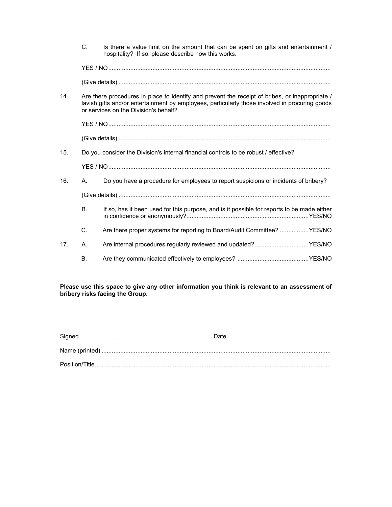|     | C.        | Is there a value limit on the amount that can be spent on gifts and entertainment /<br>hospitality? If so, please describe how this works.                                                                                                 |
|-----|-----------|--------------------------------------------------------------------------------------------------------------------------------------------------------------------------------------------------------------------------------------------|
|     |           |                                                                                                                                                                                                                                            |
|     |           |                                                                                                                                                                                                                                            |
| 14. |           | Are there procedures in place to identify and prevent the receipt of bribes, or inappropriate /<br>lavish gifts and/or entertainment by employees, particularly those involved in procuring goods<br>or services on the Division's behalf? |
|     |           |                                                                                                                                                                                                                                            |
|     |           |                                                                                                                                                                                                                                            |
| 15. |           | Do you consider the Division's internal financial controls to be robust / effective?                                                                                                                                                       |
|     |           |                                                                                                                                                                                                                                            |
| 16. | А.        | Do you have a procedure for employees to report suspicions or incidents of bribery?                                                                                                                                                        |
|     |           |                                                                                                                                                                                                                                            |
|     | <b>B.</b> | If so, has it been used for this purpose, and is it possible for reports to be made either                                                                                                                                                 |
|     | C.        | Are there proper systems for reporting to Board/Audit Committee? YES/NO                                                                                                                                                                    |
| 17. | Α.        | Are internal procedures regularly reviewed and updated?YES/NO                                                                                                                                                                              |
|     | В.        |                                                                                                                                                                                                                                            |

**Please use this space to give any other information you think is relevant to an assessment of bribery risks facing the Group.**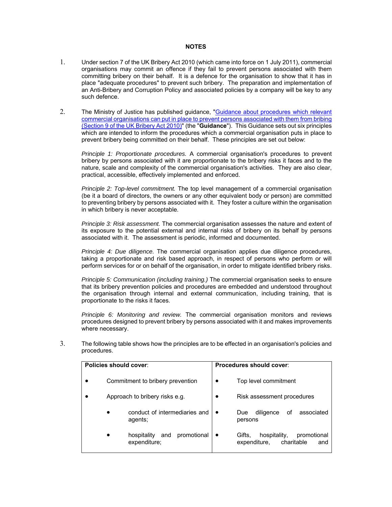#### **NOTES**

- 1. Under section 7 of the UK Bribery Act 2010 (which came into force on 1 July 2011), commercial organisations may commit an offence if they fail to prevent persons associated with them committing bribery on their behalf. It is a defence for the organisation to show that it has in place "adequate procedures" to prevent such bribery. The preparation and implementation of an Anti-Bribery and Corruption Policy and associated policies by a company will be key to any such defence.
- 2. The Ministry of Justice has published guidance, "Guidance about procedures which relevant commercial organisations can put in place to prevent persons associated with them from bribing (Section 9 of the UK Bribery Act 2010)" (the "**Guidance**"). This Guidance sets out six principles which are intended to inform the procedures which a commercial organisation puts in place to prevent bribery being committed on their behalf. These principles are set out below:

*Principle 1: Proportionate procedures.* A commercial organisation's procedures to prevent bribery by persons associated with it are proportionate to the bribery risks it faces and to the nature, scale and complexity of the commercial organisation's activities. They are also clear, practical, accessible, effectively implemented and enforced.

*Principle 2: Top-level commitment.* The top level management of a commercial organisation (be it a board of directors, the owners or any other equivalent body or person) are committed to preventing bribery by persons associated with it. They foster a culture within the organisation in which bribery is never acceptable.

*Principle 3: Risk assessment.* The commercial organisation assesses the nature and extent of its exposure to the potential external and internal risks of bribery on its behalf by persons associated with it. The assessment is periodic, informed and documented.

*Principle 4: Due diligence.* The commercial organisation applies due diligence procedures, taking a proportionate and risk based approach, in respect of persons who perform or will perform services for or on behalf of the organisation, in order to mitigate identified bribery risks.

*Principle 5: Communication (including training.)* The commercial organisation seeks to ensure that its bribery prevention policies and procedures are embedded and understood throughout the organisation through internal and external communication, including training, that is proportionate to the risks it faces.

*Principle 6: Monitoring and review.* The commercial organisation monitors and reviews procedures designed to prevent bribery by persons associated with it and makes improvements where necessary.

| Policies should cover:                            | Procedures should cover:                                                   |
|---------------------------------------------------|----------------------------------------------------------------------------|
| Commitment to bribery prevention                  | Top level commitment                                                       |
| Approach to bribery risks e.g.                    | Risk assessment procedures<br>$\bullet$                                    |
| conduct of intermediaries and<br>agents;          | associated<br>οf<br>diligence<br>Due<br>persons                            |
| promotional<br>hospitality<br>and<br>expenditure; | hospitality,<br>promotional<br>Gifts,<br>charitable<br>expenditure.<br>and |

3. The following table shows how the principles are to be effected in an organisation's policies and procedures.